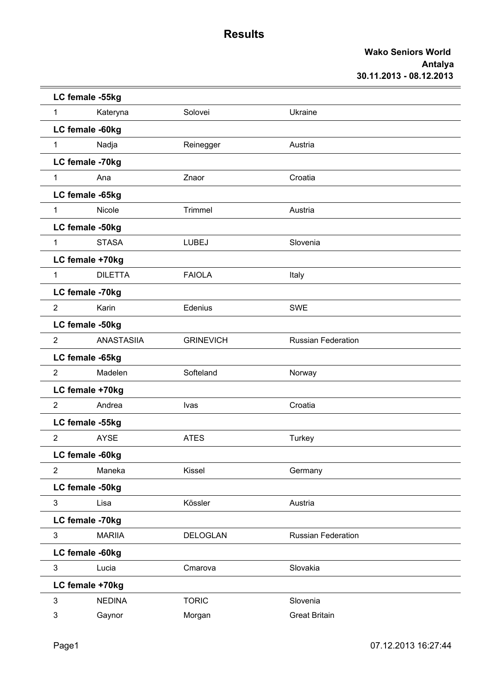|                | LC female -55kg   |                  |                           |  |
|----------------|-------------------|------------------|---------------------------|--|
| $\mathbf{1}$   | Kateryna          | Solovei          | Ukraine                   |  |
|                | LC female -60kg   |                  |                           |  |
| 1              | Nadja             | Reinegger        | Austria                   |  |
|                | LC female -70kg   |                  |                           |  |
| $\mathbf{1}$   | Ana               | Znaor            | Croatia                   |  |
|                | LC female -65kg   |                  |                           |  |
| $\mathbf{1}$   | Nicole            | Trimmel          | Austria                   |  |
|                | LC female -50kg   |                  |                           |  |
| 1              | <b>STASA</b>      | <b>LUBEJ</b>     | Slovenia                  |  |
|                | LC female +70kg   |                  |                           |  |
| $\mathbf{1}$   | <b>DILETTA</b>    | <b>FAIOLA</b>    | Italy                     |  |
|                | LC female -70kg   |                  |                           |  |
| $\overline{2}$ | Karin             | Edenius          | <b>SWE</b>                |  |
|                | LC female -50kg   |                  |                           |  |
| $\overline{2}$ | <b>ANASTASIIA</b> | <b>GRINEVICH</b> | <b>Russian Federation</b> |  |
|                | LC female -65kg   |                  |                           |  |
| $\overline{2}$ | Madelen           | Softeland        | Norway                    |  |
|                | LC female +70kg   |                  |                           |  |
| $\overline{2}$ | Andrea            | <b>Ivas</b>      | Croatia                   |  |
|                | LC female -55kg   |                  |                           |  |
| $\overline{2}$ | <b>AYSE</b>       | <b>ATES</b>      | Turkey                    |  |
|                | LC female -60kg   |                  |                           |  |
| $\overline{2}$ | Maneka            | Kissel           | Germany                   |  |
|                | LC female -50kg   |                  |                           |  |
| 3              | Lisa              | Kössler          | Austria                   |  |
|                | LC female -70kg   |                  |                           |  |
| 3              | <b>MARIIA</b>     | <b>DELOGLAN</b>  | Russian Federation        |  |
|                | LC female -60kg   |                  |                           |  |
| $\mathfrak{S}$ | Lucia             | Cmarova          | Slovakia                  |  |
|                | LC female +70kg   |                  |                           |  |
| $\mathfrak{Z}$ | <b>NEDINA</b>     | <b>TORIC</b>     | Slovenia                  |  |
| 3              | Gaynor            | Morgan           | <b>Great Britain</b>      |  |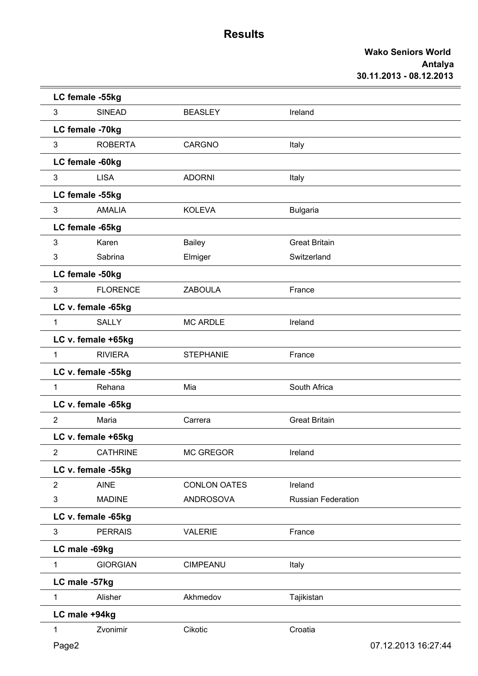|                | LC female -55kg    |                     |                           |                     |
|----------------|--------------------|---------------------|---------------------------|---------------------|
| 3              | <b>SINEAD</b>      | <b>BEASLEY</b>      | Ireland                   |                     |
|                | LC female -70kg    |                     |                           |                     |
| 3              | <b>ROBERTA</b>     | <b>CARGNO</b>       | Italy                     |                     |
|                | LC female -60kg    |                     |                           |                     |
| 3              | <b>LISA</b>        | <b>ADORNI</b>       | Italy                     |                     |
|                | LC female -55kg    |                     |                           |                     |
| $\mathfrak{Z}$ | <b>AMALIA</b>      | <b>KOLEVA</b>       | <b>Bulgaria</b>           |                     |
|                | LC female -65kg    |                     |                           |                     |
| 3              | Karen              | <b>Bailey</b>       | <b>Great Britain</b>      |                     |
| 3              | Sabrina            | Elmiger             | Switzerland               |                     |
|                | LC female -50kg    |                     |                           |                     |
| 3              | <b>FLORENCE</b>    | <b>ZABOULA</b>      | France                    |                     |
|                | LC v. female -65kg |                     |                           |                     |
| $\mathbf{1}$   | <b>SALLY</b>       | <b>MC ARDLE</b>     | Ireland                   |                     |
|                | LC v. female +65kg |                     |                           |                     |
| 1              | <b>RIVIERA</b>     | <b>STEPHANIE</b>    | France                    |                     |
|                | LC v. female -55kg |                     |                           |                     |
| 1              | Rehana             | Mia                 | South Africa              |                     |
|                | LC v. female -65kg |                     |                           |                     |
| $\overline{2}$ | Maria              | Carrera             | <b>Great Britain</b>      |                     |
|                | LC v. female +65kg |                     |                           |                     |
| $\overline{2}$ | <b>CATHRINE</b>    | MC GREGOR           | Ireland                   |                     |
|                | LC v. female -55kg |                     |                           |                     |
| 2              | <b>AINE</b>        | <b>CONLON OATES</b> | Ireland                   |                     |
| 3              | <b>MADINE</b>      | <b>ANDROSOVA</b>    | <b>Russian Federation</b> |                     |
|                | LC v. female -65kg |                     |                           |                     |
| $\mathbf{3}$   | <b>PERRAIS</b>     | <b>VALERIE</b>      | France                    |                     |
|                | LC male -69kg      |                     |                           |                     |
| 1              | <b>GIORGIAN</b>    | CIMPEANU            | Italy                     |                     |
|                | LC male -57kg      |                     |                           |                     |
| $\mathbf 1$    | Alisher            | Akhmedov            | Tajikistan                |                     |
|                | LC male +94kg      |                     |                           |                     |
| 1              | Zvonimir           | Cikotic             | Croatia                   |                     |
| Page2          |                    |                     |                           | 07.12.2013 16:27:44 |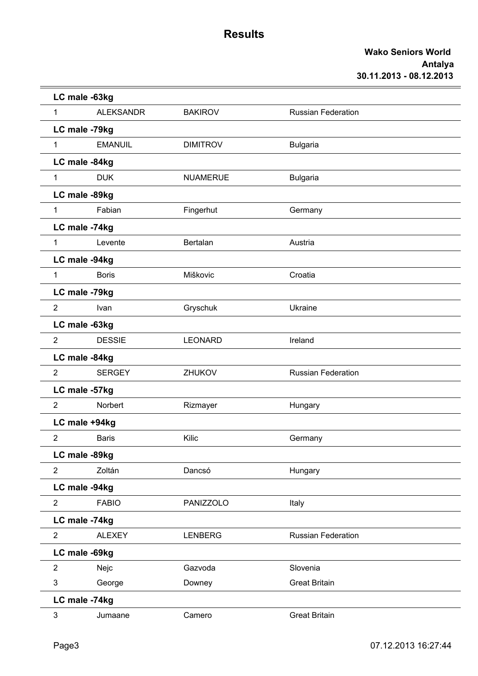|                | LC male -63kg    |                 |                           |  |
|----------------|------------------|-----------------|---------------------------|--|
| $\mathbf{1}$   | <b>ALEKSANDR</b> | <b>BAKIROV</b>  | <b>Russian Federation</b> |  |
|                | LC male -79kg    |                 |                           |  |
| 1              | <b>EMANUIL</b>   | <b>DIMITROV</b> | <b>Bulgaria</b>           |  |
|                | LC male -84kg    |                 |                           |  |
| $\mathbf{1}$   | <b>DUK</b>       | <b>NUAMERUE</b> | <b>Bulgaria</b>           |  |
|                | LC male -89kg    |                 |                           |  |
| $\mathbf{1}$   | Fabian           | Fingerhut       | Germany                   |  |
|                | LC male -74kg    |                 |                           |  |
| $\mathbf{1}$   | Levente          | Bertalan        | Austria                   |  |
|                | LC male -94kg    |                 |                           |  |
| $\mathbf{1}$   | <b>Boris</b>     | Miškovic        | Croatia                   |  |
|                | LC male -79kg    |                 |                           |  |
| $\overline{2}$ | Ivan             | Gryschuk        | Ukraine                   |  |
|                | LC male -63kg    |                 |                           |  |
| $\overline{2}$ | <b>DESSIE</b>    | <b>LEONARD</b>  | Ireland                   |  |
|                | LC male -84kg    |                 |                           |  |
| 2              | <b>SERGEY</b>    | <b>ZHUKOV</b>   | <b>Russian Federation</b> |  |
|                | LC male -57kg    |                 |                           |  |
| $\overline{2}$ | Norbert          | Rizmayer        | Hungary                   |  |
|                | LC male +94kg    |                 |                           |  |
| $\overline{2}$ | <b>Baris</b>     | Kilic           | Germany                   |  |
|                | LC male -89kg    |                 |                           |  |
| $\overline{2}$ | Zoltán           | Dancsó          | Hungary                   |  |
|                | LC male -94kg    |                 |                           |  |
| $\overline{2}$ | <b>FABIO</b>     | PANIZZOLO       | Italy                     |  |
|                | LC male -74kg    |                 |                           |  |
| $\overline{2}$ | <b>ALEXEY</b>    | <b>LENBERG</b>  | Russian Federation        |  |
|                | LC male -69kg    |                 |                           |  |
| $\overline{2}$ | Nejc             | Gazvoda         | Slovenia                  |  |
| $\mathfrak{S}$ | George           | Downey          | <b>Great Britain</b>      |  |
|                | LC male -74kg    |                 |                           |  |
| 3              | Jumaane          | Camero          | <b>Great Britain</b>      |  |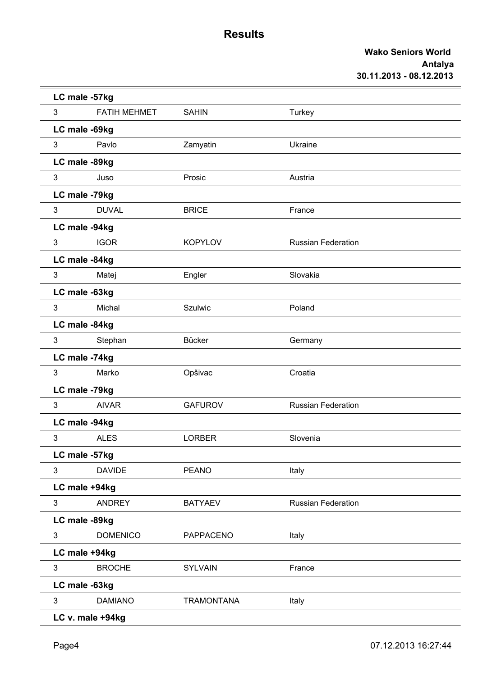|   | LC male -57kg       |                   |                           |  |
|---|---------------------|-------------------|---------------------------|--|
| 3 | <b>FATIH MEHMET</b> | <b>SAHIN</b>      | Turkey                    |  |
|   | LC male -69kg       |                   |                           |  |
| 3 | Pavlo               | Zamyatin          | Ukraine                   |  |
|   | LC male -89kg       |                   |                           |  |
| 3 | Juso                | Prosic            | Austria                   |  |
|   | LC male -79kg       |                   |                           |  |
| 3 | <b>DUVAL</b>        | <b>BRICE</b>      | France                    |  |
|   | LC male -94kg       |                   |                           |  |
| 3 | <b>IGOR</b>         | <b>KOPYLOV</b>    | <b>Russian Federation</b> |  |
|   | LC male -84kg       |                   |                           |  |
| 3 | Matej               | Engler            | Slovakia                  |  |
|   | LC male -63kg       |                   |                           |  |
| 3 | Michal              | Szulwic           | Poland                    |  |
|   | LC male -84kg       |                   |                           |  |
| 3 | Stephan             | Bücker            | Germany                   |  |
|   | LC male -74kg       |                   |                           |  |
| 3 | Marko               | Opšivac           | Croatia                   |  |
|   | LC male -79kg       |                   |                           |  |
| 3 | <b>AIVAR</b>        | <b>GAFUROV</b>    | <b>Russian Federation</b> |  |
|   | LC male -94kg       |                   |                           |  |
| 3 | <b>ALES</b>         | <b>LORBER</b>     | Slovenia                  |  |
|   | LC male -57kg       |                   |                           |  |
| 3 | <b>DAVIDE</b>       | <b>PEANO</b>      | Italy                     |  |
|   | LC male +94kg       |                   |                           |  |
| 3 | <b>ANDREY</b>       | <b>BATYAEV</b>    | <b>Russian Federation</b> |  |
|   | LC male -89kg       |                   |                           |  |
| 3 | <b>DOMENICO</b>     | PAPPACENO         | Italy                     |  |
|   | LC male +94kg       |                   |                           |  |
| 3 | <b>BROCHE</b>       | <b>SYLVAIN</b>    | France                    |  |
|   | LC male -63kg       |                   |                           |  |
| 3 | <b>DAMIANO</b>      | <b>TRAMONTANA</b> | Italy                     |  |
|   | LC v. male +94kg    |                   |                           |  |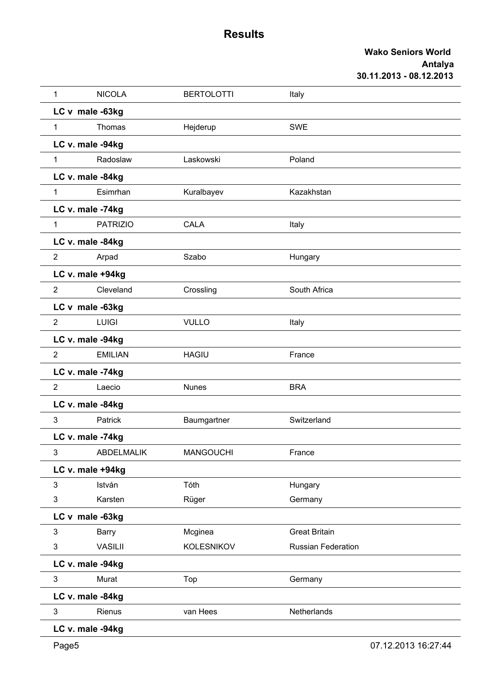| 1              | <b>NICOLA</b>     | <b>BERTOLOTTI</b> | Italy                     |  |
|----------------|-------------------|-------------------|---------------------------|--|
|                | LC v male -63kg   |                   |                           |  |
| $\mathbf{1}$   | Thomas            | Hejderup          | <b>SWE</b>                |  |
|                | LC v. male -94kg  |                   |                           |  |
| 1              | Radoslaw          | Laskowski         | Poland                    |  |
|                | LC v. male -84kg  |                   |                           |  |
| $\mathbf{1}$   | Esimrhan          | Kuralbayev        | Kazakhstan                |  |
|                | LC v. male -74kg  |                   |                           |  |
| $\mathbf{1}$   | <b>PATRIZIO</b>   | <b>CALA</b>       | Italy                     |  |
|                | LC v. male -84kg  |                   |                           |  |
| $\overline{2}$ | Arpad             | Szabo             | Hungary                   |  |
|                | LC v. male +94kg  |                   |                           |  |
| $\overline{2}$ | Cleveland         | Crossling         | South Africa              |  |
|                | LC v male -63kg   |                   |                           |  |
| $\overline{2}$ | <b>LUIGI</b>      | <b>VULLO</b>      | Italy                     |  |
|                | LC v. male -94kg  |                   |                           |  |
| $\overline{2}$ | <b>EMILIAN</b>    | <b>HAGIU</b>      | France                    |  |
|                | LC v. male -74kg  |                   |                           |  |
| $\overline{2}$ | Laecio            | <b>Nunes</b>      | <b>BRA</b>                |  |
|                | LC v. male -84kg  |                   |                           |  |
| 3              | Patrick           | Baumgartner       | Switzerland               |  |
|                | LC v. male -74kg  |                   |                           |  |
| 3              | <b>ABDELMALIK</b> | <b>MANGOUCHI</b>  | France                    |  |
|                | LC v. male +94kg  |                   |                           |  |
| 3              | István            | Tóth              | Hungary                   |  |
| 3              | Karsten           | Rüger             | Germany                   |  |
|                | LC v male -63kg   |                   |                           |  |
| 3              | Barry             | Mcginea           | <b>Great Britain</b>      |  |
| 3              | <b>VASILII</b>    | <b>KOLESNIKOV</b> | <b>Russian Federation</b> |  |
|                | LC v. male -94kg  |                   |                           |  |
| 3              | Murat             | Top               | Germany                   |  |
|                | LC v. male -84kg  |                   |                           |  |
| 3              | Rienus            | van Hees          | Netherlands               |  |
|                | LC v. male -94kg  |                   |                           |  |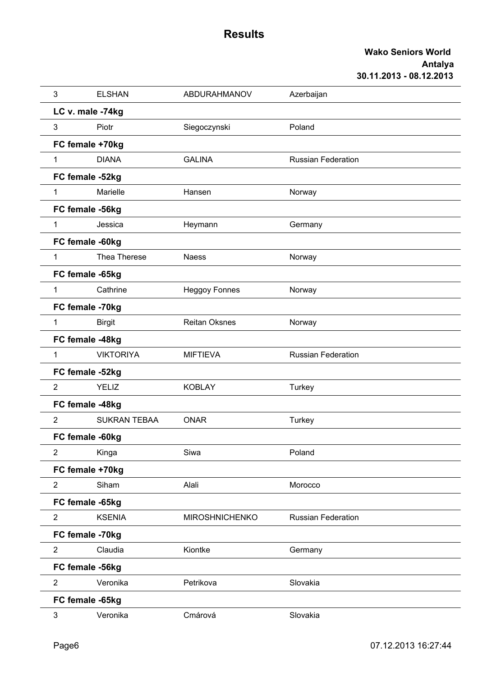| 3                | <b>ELSHAN</b>       | ABDURAHMANOV          | Azerbaijan                |
|------------------|---------------------|-----------------------|---------------------------|
| LC v. male -74kg |                     |                       |                           |
| 3                | Piotr               | Siegoczynski          | Poland                    |
| FC female +70kg  |                     |                       |                           |
| 1                | <b>DIANA</b>        | <b>GALINA</b>         | <b>Russian Federation</b> |
| FC female -52kg  |                     |                       |                           |
| $\mathbf{1}$     | Marielle            | Hansen                | Norway                    |
| FC female -56kg  |                     |                       |                           |
| $\mathbf{1}$     | Jessica             | Heymann               | Germany                   |
| FC female -60kg  |                     |                       |                           |
| 1                | Thea Therese        | <b>Naess</b>          | Norway                    |
| FC female -65kg  |                     |                       |                           |
| $\mathbf{1}$     | Cathrine            | <b>Heggoy Fonnes</b>  | Norway                    |
| FC female -70kg  |                     |                       |                           |
| $\mathbf{1}$     | <b>Birgit</b>       | <b>Reitan Oksnes</b>  | Norway                    |
| FC female -48kg  |                     |                       |                           |
| $\mathbf{1}$     | <b>VIKTORIYA</b>    | <b>MIFTIEVA</b>       | <b>Russian Federation</b> |
| FC female -52kg  |                     |                       |                           |
| $\overline{2}$   | <b>YELIZ</b>        | <b>KOBLAY</b>         | Turkey                    |
| FC female -48kg  |                     |                       |                           |
| $\overline{2}$   | <b>SUKRAN TEBAA</b> | <b>ONAR</b>           | Turkey                    |
| FC female -60kg  |                     |                       |                           |
| $\overline{2}$   | Kinga               | Siwa                  | Poland                    |
| FC female +70kg  |                     |                       |                           |
| $\overline{2}$   | Siham               | Alali                 | Morocco                   |
| FC female -65kg  |                     |                       |                           |
| $\overline{2}$   | <b>KSENIA</b>       | <b>MIROSHNICHENKO</b> | <b>Russian Federation</b> |
| FC female -70kg  |                     |                       |                           |
| $\overline{2}$   | Claudia             | Kiontke               | Germany                   |
| FC female -56kg  |                     |                       |                           |
| $\overline{2}$   | Veronika            | Petrikova             | Slovakia                  |
| FC female -65kg  |                     |                       |                           |
| 3                | Veronika            | Cmárová               | Slovakia                  |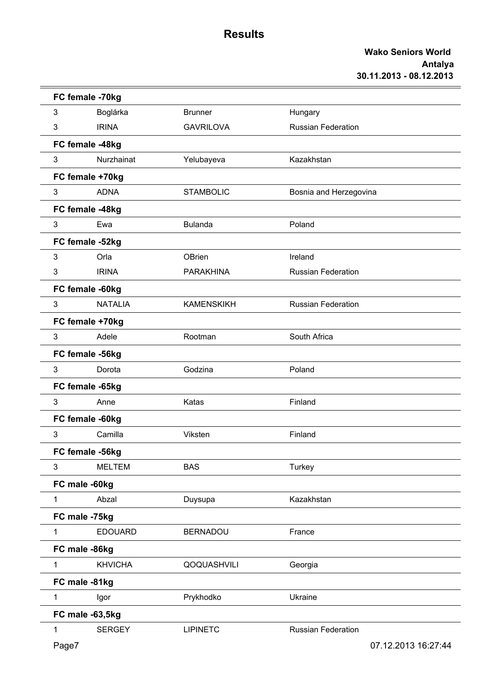|              | FC female -70kg |                   |                           |
|--------------|-----------------|-------------------|---------------------------|
| 3            | Boglárka        | <b>Brunner</b>    | Hungary                   |
| 3            | <b>IRINA</b>    | <b>GAVRILOVA</b>  | <b>Russian Federation</b> |
|              | FC female -48kg |                   |                           |
| 3            | Nurzhainat      | Yelubayeva        | Kazakhstan                |
|              | FC female +70kg |                   |                           |
| 3            | <b>ADNA</b>     | <b>STAMBOLIC</b>  | Bosnia and Herzegovina    |
|              | FC female -48kg |                   |                           |
| 3            | Ewa             | <b>Bulanda</b>    | Poland                    |
|              | FC female -52kg |                   |                           |
| 3            | Orla            | OBrien            | Ireland                   |
| 3            | <b>IRINA</b>    | <b>PARAKHINA</b>  | <b>Russian Federation</b> |
|              | FC female -60kg |                   |                           |
| 3            | <b>NATALIA</b>  | <b>KAMENSKIKH</b> | Russian Federation        |
|              | FC female +70kg |                   |                           |
| 3            | Adele           | Rootman           | South Africa              |
|              | FC female -56kg |                   |                           |
| 3            | Dorota          | Godzina           | Poland                    |
|              | FC female -65kg |                   |                           |
| 3            | Anne            | Katas             | Finland                   |
|              | FC female -60kg |                   |                           |
| 3            | Camilla         | Viksten           | Finland                   |
|              | FC female -56kg |                   |                           |
| 3            | <b>MELTEM</b>   | <b>BAS</b>        | Turkey                    |
|              | FC male -60kg   |                   |                           |
| $\mathbf{1}$ | Abzal           | Duysupa           | Kazakhstan                |
|              | FC male -75kg   |                   |                           |
| $\mathbf{1}$ | <b>EDOUARD</b>  | <b>BERNADOU</b>   | France                    |
|              | FC male -86kg   |                   |                           |
| 1            | <b>KHVICHA</b>  | QOQUASHVILI       | Georgia                   |
|              | FC male -81kg   |                   |                           |
| 1            | Igor            | Prykhodko         | Ukraine                   |
|              | FC male -63,5kg |                   |                           |
| 1            | <b>SERGEY</b>   | <b>LIPINETC</b>   | <b>Russian Federation</b> |
| Page7        |                 |                   | 07.12.2013 16:27:44       |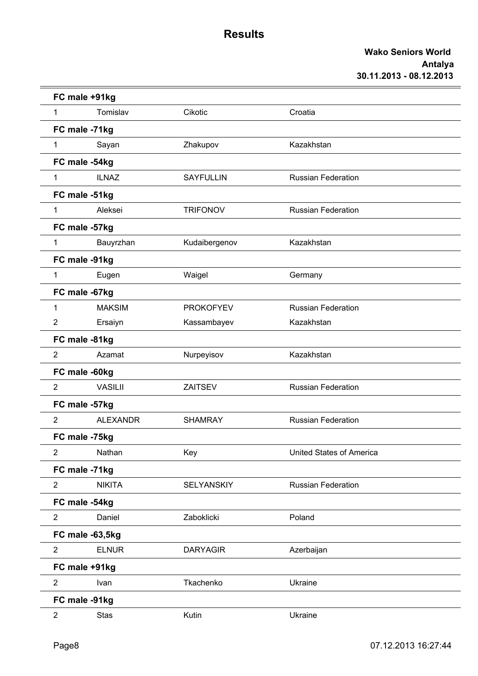|                | FC male +91kg   |                  |                                 |  |
|----------------|-----------------|------------------|---------------------------------|--|
| $\mathbf{1}$   | Tomislav        | Cikotic          | Croatia                         |  |
|                | FC male -71kg   |                  |                                 |  |
| 1              | Sayan           | Zhakupov         | Kazakhstan                      |  |
|                | FC male -54kg   |                  |                                 |  |
| $\mathbf{1}$   | <b>ILNAZ</b>    | <b>SAYFULLIN</b> | <b>Russian Federation</b>       |  |
|                | FC male -51kg   |                  |                                 |  |
| $\mathbf{1}$   | Aleksei         | <b>TRIFONOV</b>  | <b>Russian Federation</b>       |  |
|                | FC male -57kg   |                  |                                 |  |
| $\mathbf{1}$   | Bauyrzhan       | Kudaibergenov    | Kazakhstan                      |  |
|                | FC male -91kg   |                  |                                 |  |
| $\mathbf{1}$   | Eugen           | Waigel           | Germany                         |  |
|                | FC male -67kg   |                  |                                 |  |
| 1              | <b>MAKSIM</b>   | <b>PROKOFYEV</b> | <b>Russian Federation</b>       |  |
| 2              | Ersaiyn         | Kassambayev      | Kazakhstan                      |  |
|                | FC male -81kg   |                  |                                 |  |
| $\overline{2}$ | Azamat          | Nurpeyisov       | Kazakhstan                      |  |
|                | FC male -60kg   |                  |                                 |  |
| $\overline{2}$ | <b>VASILII</b>  | ZAITSEV          | <b>Russian Federation</b>       |  |
|                | FC male -57kg   |                  |                                 |  |
| $\overline{2}$ | <b>ALEXANDR</b> | <b>SHAMRAY</b>   | <b>Russian Federation</b>       |  |
|                | FC male -75kg   |                  |                                 |  |
| 2              | Nathan          | Key              | <b>United States of America</b> |  |
|                | FC male -71kg   |                  |                                 |  |
| $\overline{2}$ | <b>NIKITA</b>   | SELYANSKIY       | <b>Russian Federation</b>       |  |
|                | FC male -54kg   |                  |                                 |  |
| $\overline{2}$ | Daniel          | Zaboklicki       | Poland                          |  |
|                | FC male -63,5kg |                  |                                 |  |
| $\overline{2}$ | <b>ELNUR</b>    | <b>DARYAGIR</b>  | Azerbaijan                      |  |
|                | FC male +91kg   |                  |                                 |  |
| $\overline{2}$ | Ivan            | Tkachenko        | Ukraine                         |  |
|                | FC male -91kg   |                  |                                 |  |
| $\overline{2}$ | <b>Stas</b>     | Kutin            | Ukraine                         |  |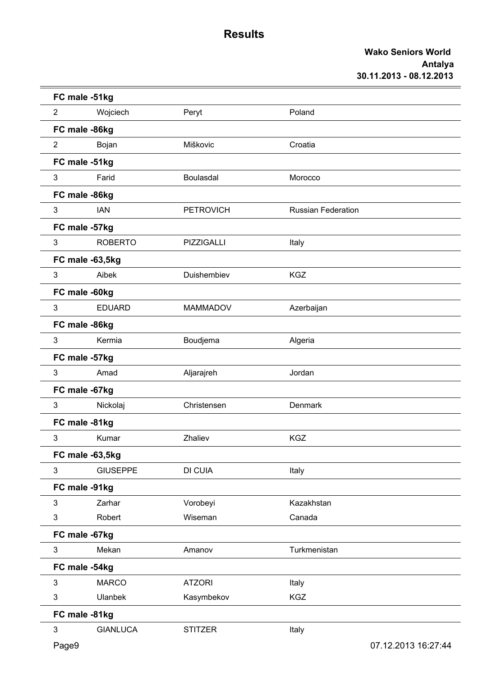|                | FC male -51kg   |                   |                           |                     |
|----------------|-----------------|-------------------|---------------------------|---------------------|
| $\overline{2}$ | Wojciech        | Peryt             | Poland                    |                     |
|                | FC male -86kg   |                   |                           |                     |
| $\overline{2}$ | Bojan           | Miškovic          | Croatia                   |                     |
|                | FC male -51kg   |                   |                           |                     |
| 3              | Farid           | Boulasdal         | Morocco                   |                     |
|                | FC male -86kg   |                   |                           |                     |
| 3              | <b>IAN</b>      | <b>PETROVICH</b>  | <b>Russian Federation</b> |                     |
|                | FC male -57kg   |                   |                           |                     |
| 3              | <b>ROBERTO</b>  | <b>PIZZIGALLI</b> | Italy                     |                     |
|                | FC male -63,5kg |                   |                           |                     |
| 3              | Aibek           | Duishembiev       | <b>KGZ</b>                |                     |
|                | FC male -60kg   |                   |                           |                     |
| 3              | <b>EDUARD</b>   | <b>MAMMADOV</b>   | Azerbaijan                |                     |
|                | FC male -86kg   |                   |                           |                     |
| 3              | Kermia          | Boudjema          | Algeria                   |                     |
|                | FC male -57kg   |                   |                           |                     |
| 3              | Amad            | Aljarajreh        | Jordan                    |                     |
|                | FC male -67kg   |                   |                           |                     |
| 3              | Nickolaj        | Christensen       | Denmark                   |                     |
|                | FC male -81kg   |                   |                           |                     |
| 3              | Kumar           | Zhaliev           | <b>KGZ</b>                |                     |
|                | FC male -63,5kg |                   |                           |                     |
| 3              | <b>GIUSEPPE</b> | DI CUIA           | Italy                     |                     |
|                | FC male -91kg   |                   |                           |                     |
| 3              | Zarhar          | Vorobeyi          | Kazakhstan                |                     |
| 3              | Robert          | Wiseman           | Canada                    |                     |
|                | FC male -67kg   |                   |                           |                     |
| $\mathfrak{S}$ | Mekan           | Amanov            | Turkmenistan              |                     |
|                | FC male -54kg   |                   |                           |                     |
| 3              | <b>MARCO</b>    | <b>ATZORI</b>     | Italy                     |                     |
| 3              | <b>Ulanbek</b>  | Kasymbekov        | <b>KGZ</b>                |                     |
|                | FC male -81kg   |                   |                           |                     |
| 3              | <b>GIANLUCA</b> | <b>STITZER</b>    | Italy                     |                     |
| Page9          |                 |                   |                           | 07.12.2013 16:27:44 |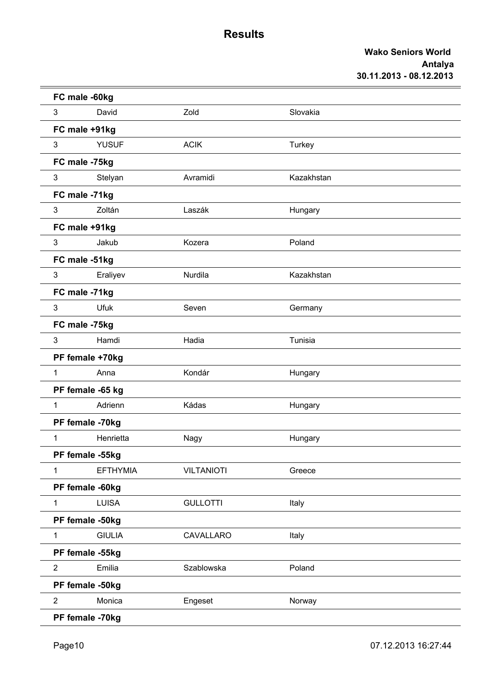|                | FC male -60kg    |                   |            |  |
|----------------|------------------|-------------------|------------|--|
| 3              | David            | Zold              | Slovakia   |  |
|                | FC male +91kg    |                   |            |  |
| 3              | <b>YUSUF</b>     | <b>ACIK</b>       | Turkey     |  |
|                | FC male -75kg    |                   |            |  |
| 3              | Stelyan          | Avramidi          | Kazakhstan |  |
|                | FC male -71kg    |                   |            |  |
| 3              | Zoltán           | Laszák            | Hungary    |  |
|                | FC male +91kg    |                   |            |  |
| 3              | Jakub            | Kozera            | Poland     |  |
|                | FC male -51kg    |                   |            |  |
| 3              | Eraliyev         | Nurdila           | Kazakhstan |  |
|                | FC male -71kg    |                   |            |  |
| 3              | <b>Ufuk</b>      | Seven             | Germany    |  |
|                | FC male -75kg    |                   |            |  |
| 3              | Hamdi            | Hadia             | Tunisia    |  |
|                | PF female +70kg  |                   |            |  |
| $\mathbf{1}$   | Anna             | Kondár            | Hungary    |  |
|                | PF female -65 kg |                   |            |  |
| $\mathbf{1}$   | Adrienn          | Kádas             | Hungary    |  |
|                | PF female -70kg  |                   |            |  |
| 1              | Henrietta        | Nagy              | Hungary    |  |
|                | PF female -55kg  |                   |            |  |
| $\mathbf{1}$   | <b>EFTHYMIA</b>  | <b>VILTANIOTI</b> | Greece     |  |
|                | PF female -60kg  |                   |            |  |
| $\mathbf{1}$   | <b>LUISA</b>     | <b>GULLOTTI</b>   | Italy      |  |
|                | PF female -50kg  |                   |            |  |
| $\mathbf{1}$   | <b>GIULIA</b>    | CAVALLARO         | Italy      |  |
|                | PF female -55kg  |                   |            |  |
| $\overline{2}$ | Emilia           | Szablowska        | Poland     |  |
|                | PF female -50kg  |                   |            |  |
| $\overline{2}$ | Monica           | Engeset           | Norway     |  |
|                | PF female -70kg  |                   |            |  |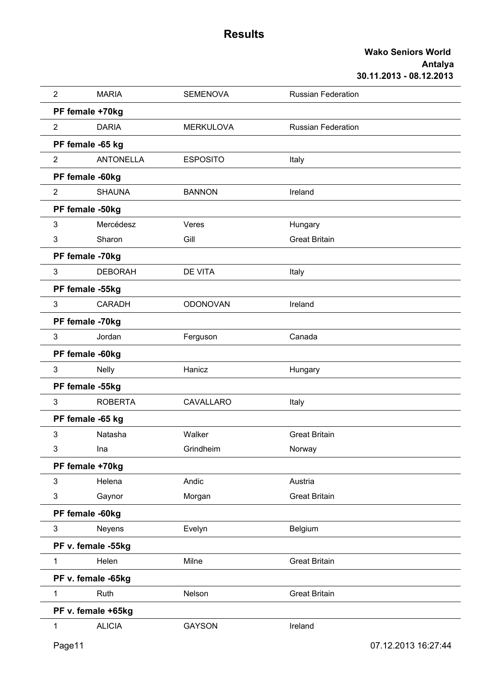| $\overline{2}$ | <b>MARIA</b>       | <b>SEMENOVA</b>  | <b>Russian Federation</b> |
|----------------|--------------------|------------------|---------------------------|
|                | PF female +70kg    |                  |                           |
| $\overline{2}$ | <b>DARIA</b>       | <b>MERKULOVA</b> | <b>Russian Federation</b> |
|                | PF female -65 kg   |                  |                           |
| $\overline{2}$ | <b>ANTONELLA</b>   | <b>ESPOSITO</b>  | Italy                     |
|                | PF female -60kg    |                  |                           |
| $\overline{2}$ | <b>SHAUNA</b>      | <b>BANNON</b>    | Ireland                   |
|                | PF female -50kg    |                  |                           |
| 3              | Mercédesz          | Veres            | Hungary                   |
| 3              | Sharon             | Gill             | <b>Great Britain</b>      |
|                | PF female -70kg    |                  |                           |
| 3              | <b>DEBORAH</b>     | <b>DE VITA</b>   | Italy                     |
|                | PF female -55kg    |                  |                           |
| 3              | <b>CARADH</b>      | <b>ODONOVAN</b>  | Ireland                   |
|                | PF female -70kg    |                  |                           |
| 3              | Jordan             | Ferguson         | Canada                    |
|                | PF female -60kg    |                  |                           |
| 3              | <b>Nelly</b>       | Hanicz           | Hungary                   |
|                | PF female -55kg    |                  |                           |
| 3              | <b>ROBERTA</b>     | CAVALLARO        | Italy                     |
|                | PF female -65 kg   |                  |                           |
| 3              | Natasha            | Walker           | <b>Great Britain</b>      |
| 3              | Ina                | Grindheim        | Norway                    |
|                | PF female +70kg    |                  |                           |
| 3              | Helena             | Andic            | Austria                   |
| 3              | Gaynor             | Morgan           | <b>Great Britain</b>      |
|                | PF female -60kg    |                  |                           |
| 3              | Neyens             | Evelyn           | Belgium                   |
|                | PF v. female -55kg |                  |                           |
| $\mathbf{1}$   | Helen              | Milne            | <b>Great Britain</b>      |
|                | PF v. female -65kg |                  |                           |
| $\mathbf{1}$   | Ruth               | Nelson           | <b>Great Britain</b>      |
|                | PF v. female +65kg |                  |                           |
| 1              | <b>ALICIA</b>      | <b>GAYSON</b>    | Ireland                   |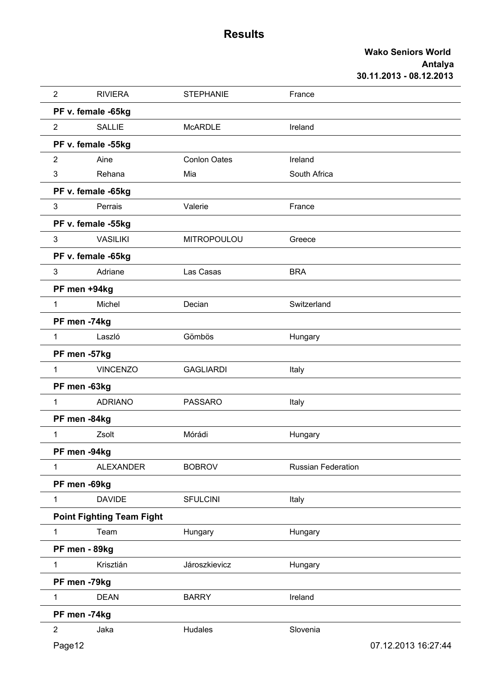| $\overline{2}$ | <b>RIVIERA</b>                   | <b>STEPHANIE</b>    | France                    |  |
|----------------|----------------------------------|---------------------|---------------------------|--|
|                | PF v. female -65kg               |                     |                           |  |
| $\overline{2}$ | <b>SALLIE</b>                    | <b>McARDLE</b>      | Ireland                   |  |
|                | PF v. female -55kg               |                     |                           |  |
| $\overline{2}$ | Aine                             | <b>Conlon Oates</b> | Ireland                   |  |
| 3              | Rehana                           | Mia                 | South Africa              |  |
|                | PF v. female -65kg               |                     |                           |  |
| 3              | Perrais                          | Valerie             | France                    |  |
|                | PF v. female -55kg               |                     |                           |  |
| 3              | <b>VASILIKI</b>                  | <b>MITROPOULOU</b>  | Greece                    |  |
|                | PF v. female -65kg               |                     |                           |  |
| 3              | Adriane                          | Las Casas           | <b>BRA</b>                |  |
|                | PF men +94kg                     |                     |                           |  |
| 1              | Michel                           | Decian              | Switzerland               |  |
|                | PF men -74kg                     |                     |                           |  |
| $\mathbf{1}$   | Laszló                           | Gömbös              | Hungary                   |  |
|                | PF men -57kg                     |                     |                           |  |
| $\mathbf{1}$   | <b>VINCENZO</b>                  | <b>GAGLIARDI</b>    | Italy                     |  |
|                | PF men -63kg                     |                     |                           |  |
| $\mathbf{1}$   | <b>ADRIANO</b>                   | <b>PASSARO</b>      | Italy                     |  |
|                | PF men -84kg                     |                     |                           |  |
| 1              | Zsolt                            | Mórádi              | Hungary                   |  |
|                | PF men -94kg                     |                     |                           |  |
| $\mathbf{1}$   | <b>ALEXANDER</b>                 | <b>BOBROV</b>       | <b>Russian Federation</b> |  |
|                | PF men -69kg                     |                     |                           |  |
| $\mathbf{1}$   | <b>DAVIDE</b>                    | <b>SFULCINI</b>     | Italy                     |  |
|                | <b>Point Fighting Team Fight</b> |                     |                           |  |
| $\mathbf{1}$   | Team                             | Hungary             | Hungary                   |  |
|                | PF men - 89kg                    |                     |                           |  |
| $\mathbf{1}$   | Krisztián                        | Jároszkievicz       | Hungary                   |  |
|                | PF men -79kg                     |                     |                           |  |
| 1              | <b>DEAN</b>                      | <b>BARRY</b>        | Ireland                   |  |
|                | PF men -74kg                     |                     |                           |  |
| $\overline{2}$ | Jaka                             | Hudales             | Slovenia                  |  |
| Page12         |                                  |                     | 07.12.2013 16:27:44       |  |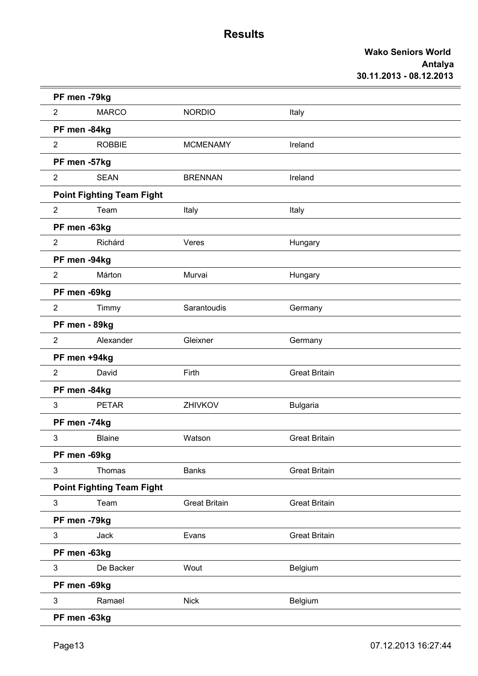| PF men -79kg              |                                  |                      |                      |
|---------------------------|----------------------------------|----------------------|----------------------|
| $\overline{2}$            | <b>MARCO</b>                     | <b>NORDIO</b>        | Italy                |
| PF men -84kg              |                                  |                      |                      |
| $\overline{2}$            | <b>ROBBIE</b>                    | <b>MCMENAMY</b>      | Ireland              |
| PF men -57kg              |                                  |                      |                      |
| $\overline{2}$            | <b>SEAN</b>                      | <b>BRENNAN</b>       | Ireland              |
|                           | <b>Point Fighting Team Fight</b> |                      |                      |
| $\overline{2}$            | Team                             | Italy                | Italy                |
| PF men -63kg              |                                  |                      |                      |
| $\overline{2}$            | Richárd                          | Veres                | Hungary              |
| PF men -94kg              |                                  |                      |                      |
| $\overline{2}$            | Márton                           | Murvai               | Hungary              |
| PF men -69kg              |                                  |                      |                      |
| $\overline{2}$            | Timmy                            | Sarantoudis          | Germany              |
| PF men - 89kg             |                                  |                      |                      |
| $\overline{2}$            | Alexander                        | Gleixner             | Germany              |
| PF men +94kg              |                                  |                      |                      |
| $\overline{2}$            | David                            | Firth                | <b>Great Britain</b> |
| PF men -84kg              |                                  |                      |                      |
| $\mathbf{3}$              | <b>PETAR</b>                     | ZHIVKOV              | <b>Bulgaria</b>      |
| PF men -74kg              |                                  |                      |                      |
| 3                         | <b>Blaine</b>                    | Watson               | <b>Great Britain</b> |
| PF men -69kg              |                                  |                      |                      |
| 3                         | Thomas                           | <b>Banks</b>         | <b>Great Britain</b> |
|                           | <b>Point Fighting Team Fight</b> |                      |                      |
| $\ensuremath{\mathsf{3}}$ | Team                             | <b>Great Britain</b> | <b>Great Britain</b> |
| PF men -79kg              |                                  |                      |                      |
| 3                         | Jack                             | Evans                | <b>Great Britain</b> |
| PF men -63kg              |                                  |                      |                      |
| $\mathbf{3}$              | De Backer                        | Wout                 | Belgium              |
| PF men -69kg              |                                  |                      |                      |
| $\mathbf{3}$              | Ramael                           | <b>Nick</b>          | Belgium              |
| PF men -63kg              |                                  |                      |                      |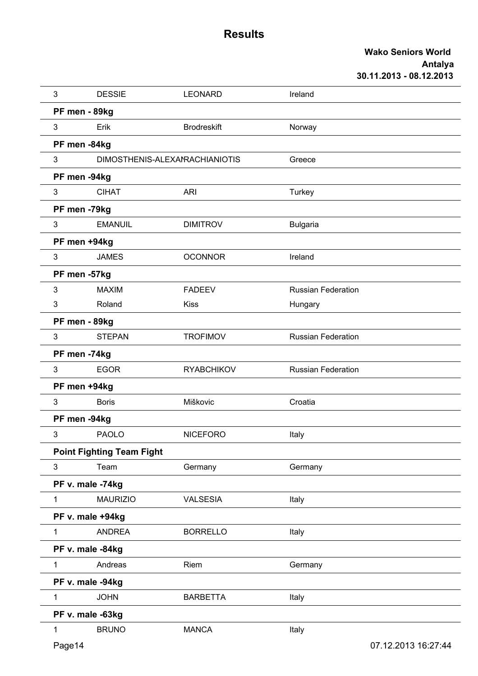| 3              | <b>DESSIE</b>                    | <b>LEONARD</b>                 | Ireland                   |  |
|----------------|----------------------------------|--------------------------------|---------------------------|--|
|                | PF men - 89kg                    |                                |                           |  |
| $\mathfrak{S}$ | Erik                             | <b>Brodreskift</b>             | Norway                    |  |
|                | PF men -84kg                     |                                |                           |  |
| 3              |                                  | DIMOSTHENIS-ALEXANRACHIANIOTIS | Greece                    |  |
|                | PF men -94kg                     |                                |                           |  |
| $\mathbf{3}$   | <b>CIHAT</b>                     | <b>ARI</b>                     | Turkey                    |  |
|                | PF men -79kg                     |                                |                           |  |
| 3              | <b>EMANUIL</b>                   | <b>DIMITROV</b>                | <b>Bulgaria</b>           |  |
|                | PF men +94kg                     |                                |                           |  |
| $\mathfrak{S}$ | <b>JAMES</b>                     | <b>OCONNOR</b>                 | Ireland                   |  |
|                | PF men -57kg                     |                                |                           |  |
| 3              | <b>MAXIM</b>                     | <b>FADEEV</b>                  | <b>Russian Federation</b> |  |
| 3              | Roland                           | <b>Kiss</b>                    | Hungary                   |  |
|                | PF men - 89kg                    |                                |                           |  |
| 3              | <b>STEPAN</b>                    | <b>TROFIMOV</b>                | <b>Russian Federation</b> |  |
|                | PF men -74kg                     |                                |                           |  |
| 3              | <b>EGOR</b>                      | <b>RYABCHIKOV</b>              | <b>Russian Federation</b> |  |
|                | PF men +94kg                     |                                |                           |  |
| $\mathfrak{S}$ | <b>Boris</b>                     | Miškovic                       | Croatia                   |  |
|                | PF men -94kg                     |                                |                           |  |
| 3              | <b>PAOLO</b>                     | <b>NICEFORO</b>                | Italy                     |  |
|                | <b>Point Fighting Team Fight</b> |                                |                           |  |
| 3              | Team                             | Germany                        | Germany                   |  |
|                | PF v. male -74kg                 |                                |                           |  |
| $\mathbf{1}$   | <b>MAURIZIO</b>                  | <b>VALSESIA</b>                | Italy                     |  |
|                | PF v. male +94kg                 |                                |                           |  |
| $\mathbf{1}$   | <b>ANDREA</b>                    | <b>BORRELLO</b>                | Italy                     |  |
|                | PF v. male -84kg                 |                                |                           |  |
| $\mathbf{1}$   | Andreas                          | Riem                           | Germany                   |  |
|                | PF v. male -94kg                 |                                |                           |  |
| 1.             | <b>JOHN</b>                      | <b>BARBETTA</b>                | Italy                     |  |
|                | PF v. male -63kg                 |                                |                           |  |
| $\mathbf{1}$   | <b>BRUNO</b>                     | <b>MANCA</b>                   | Italy                     |  |
| Page14         |                                  |                                | 07.12.2013 16:27:44       |  |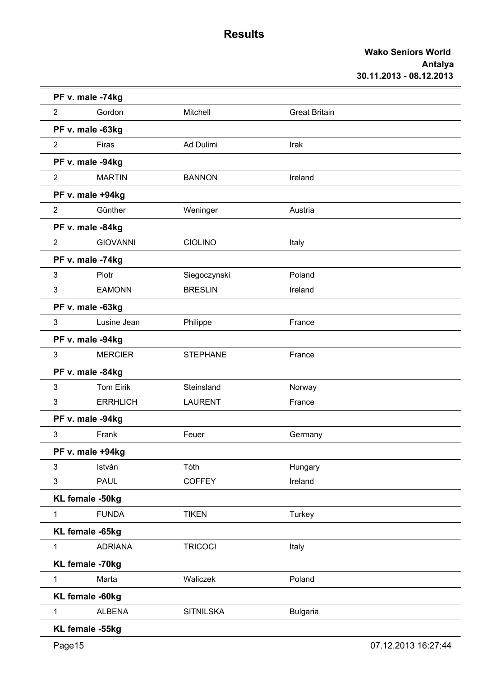|                | PF v. male -74kg |                  |                      |  |
|----------------|------------------|------------------|----------------------|--|
| $\overline{2}$ | Gordon           | Mitchell         | <b>Great Britain</b> |  |
|                | PF v. male -63kg |                  |                      |  |
| $\overline{2}$ | Firas            | Ad Dulimi        | Irak                 |  |
|                | PF v. male -94kg |                  |                      |  |
| $\overline{2}$ | <b>MARTIN</b>    | <b>BANNON</b>    | Ireland              |  |
|                | PF v. male +94kg |                  |                      |  |
| $\overline{2}$ | Günther          | Weninger         | Austria              |  |
|                | PF v. male -84kg |                  |                      |  |
| $\overline{2}$ | <b>GIOVANNI</b>  | <b>CIOLINO</b>   | Italy                |  |
|                | PF v. male -74kg |                  |                      |  |
| 3              | Piotr            | Siegoczynski     | Poland               |  |
| 3              | <b>EAMONN</b>    | <b>BRESLIN</b>   | Ireland              |  |
|                | PF v. male -63kg |                  |                      |  |
| 3              | Lusine Jean      | Philippe         | France               |  |
|                | PF v. male -94kg |                  |                      |  |
| 3              | <b>MERCIER</b>   | <b>STEPHANE</b>  | France               |  |
|                | PF v. male -84kg |                  |                      |  |
| 3              | <b>Tom Eirik</b> | Steinsland       | Norway               |  |
| 3              | <b>ERRHLICH</b>  | <b>LAURENT</b>   | France               |  |
|                | PF v. male -94kg |                  |                      |  |
| 3              | Frank            | Feuer            | Germany              |  |
|                | PF v. male +94kg |                  |                      |  |
| 3              | István           | Tóth             | Hungary              |  |
| 3              | <b>PAUL</b>      | <b>COFFEY</b>    | Ireland              |  |
|                | KL female -50kg  |                  |                      |  |
| $\mathbf{1}$   | <b>FUNDA</b>     | <b>TIKEN</b>     | Turkey               |  |
|                | KL female -65kg  |                  |                      |  |
| $\mathbf{1}$   | <b>ADRIANA</b>   | <b>TRICOCI</b>   | Italy                |  |
|                | KL female -70kg  |                  |                      |  |
| $\mathbf{1}$   | Marta            | Waliczek         | Poland               |  |
|                | KL female -60kg  |                  |                      |  |
| $\mathbf{1}$   | <b>ALBENA</b>    | <b>SITNILSKA</b> | <b>Bulgaria</b>      |  |
|                | KL female -55kg  |                  |                      |  |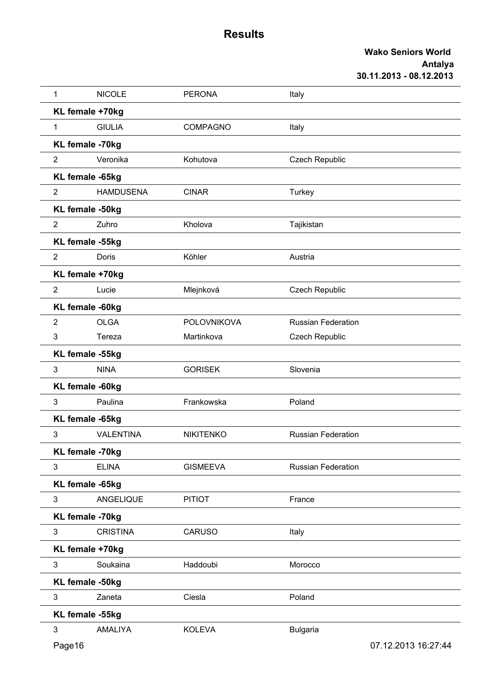| 1              | <b>NICOLE</b>    | <b>PERONA</b>      | Italy                     |                     |
|----------------|------------------|--------------------|---------------------------|---------------------|
|                | KL female +70kg  |                    |                           |                     |
| 1              | <b>GIULIA</b>    | <b>COMPAGNO</b>    | Italy                     |                     |
|                | KL female -70kg  |                    |                           |                     |
| $\overline{2}$ | Veronika         | Kohutova           | <b>Czech Republic</b>     |                     |
|                | KL female -65kg  |                    |                           |                     |
| $\overline{2}$ | <b>HAMDUSENA</b> | <b>CINAR</b>       | Turkey                    |                     |
|                | KL female -50kg  |                    |                           |                     |
| $\overline{2}$ | Zuhro            | Kholova            | Tajikistan                |                     |
|                | KL female -55kg  |                    |                           |                     |
| $\overline{2}$ | Doris            | Köhler             | Austria                   |                     |
|                | KL female +70kg  |                    |                           |                     |
| $\overline{2}$ | Lucie            | Mlejnková          | <b>Czech Republic</b>     |                     |
|                | KL female -60kg  |                    |                           |                     |
| $\overline{2}$ | <b>OLGA</b>      | <b>POLOVNIKOVA</b> | <b>Russian Federation</b> |                     |
| 3              | Tereza           | Martinkova         | Czech Republic            |                     |
|                | KL female -55kg  |                    |                           |                     |
| 3              | <b>NINA</b>      | <b>GORISEK</b>     | Slovenia                  |                     |
|                | KL female -60kg  |                    |                           |                     |
| 3              | Paulina          | Frankowska         | Poland                    |                     |
|                | KL female -65kg  |                    |                           |                     |
| 3              | <b>VALENTINA</b> | <b>NIKITENKO</b>   | <b>Russian Federation</b> |                     |
|                | KL female -70kg  |                    |                           |                     |
| 3              | <b>ELINA</b>     | <b>GISMEEVA</b>    | <b>Russian Federation</b> |                     |
|                | KL female -65kg  |                    |                           |                     |
| 3              | ANGELIQUE        | <b>PITIOT</b>      | France                    |                     |
|                | KL female -70kg  |                    |                           |                     |
| 3              | <b>CRISTINA</b>  | <b>CARUSO</b>      | Italy                     |                     |
|                | KL female +70kg  |                    |                           |                     |
| 3              | Soukaina         | Haddoubi           | Morocco                   |                     |
|                | KL female -50kg  |                    |                           |                     |
| 3              | Zaneta           | Ciesla             | Poland                    |                     |
|                | KL female -55kg  |                    |                           |                     |
| $\mathfrak{S}$ | AMALIYA          | <b>KOLEVA</b>      | <b>Bulgaria</b>           |                     |
| Page16         |                  |                    |                           | 07.12.2013 16:27:44 |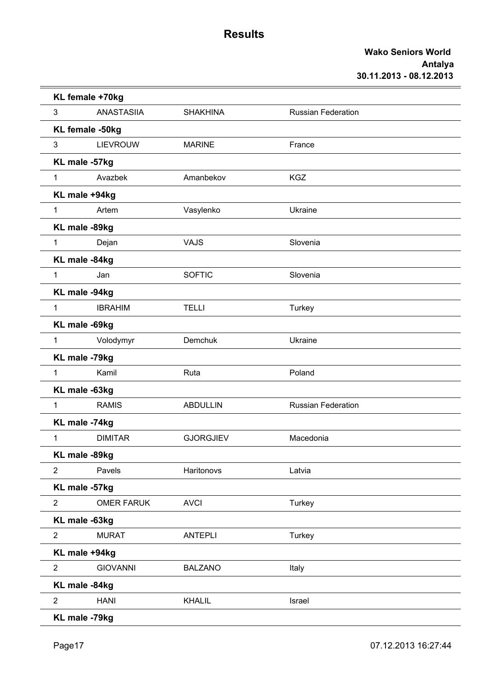|                | KL female +70kg   |                  |                           |  |
|----------------|-------------------|------------------|---------------------------|--|
| 3              | <b>ANASTASIIA</b> | <b>SHAKHINA</b>  | <b>Russian Federation</b> |  |
|                | KL female -50kg   |                  |                           |  |
| 3              | <b>LIEVROUW</b>   | <b>MARINE</b>    | France                    |  |
| KL male -57kg  |                   |                  |                           |  |
| $\mathbf{1}$   | Avazbek           | Amanbekov        | <b>KGZ</b>                |  |
|                | KL male +94kg     |                  |                           |  |
| $\mathbf{1}$   | Artem             | Vasylenko        | Ukraine                   |  |
|                | KL male -89kg     |                  |                           |  |
| $\mathbf{1}$   | Dejan             | <b>VAJS</b>      | Slovenia                  |  |
| KL male -84kg  |                   |                  |                           |  |
| $\mathbf{1}$   | Jan               | <b>SOFTIC</b>    | Slovenia                  |  |
| KL male -94kg  |                   |                  |                           |  |
| $\mathbf{1}$   | <b>IBRAHIM</b>    | <b>TELLI</b>     | Turkey                    |  |
|                | KL male -69kg     |                  |                           |  |
| $\mathbf{1}$   | Volodymyr         | Demchuk          | Ukraine                   |  |
| KL male -79kg  |                   |                  |                           |  |
| $\mathbf{1}$   | Kamil             | Ruta             | Poland                    |  |
| KL male -63kg  |                   |                  |                           |  |
| 1              | <b>RAMIS</b>      | <b>ABDULLIN</b>  | <b>Russian Federation</b> |  |
| KL male -74kg  |                   |                  |                           |  |
| $\mathbf{1}$   | <b>DIMITAR</b>    | <b>GJORGJIEV</b> | Macedonia                 |  |
| KL male -89kg  |                   |                  |                           |  |
| $\overline{2}$ | Pavels            | Haritonovs       | Latvia                    |  |
|                | KL male -57kg     |                  |                           |  |
| $\overline{2}$ | <b>OMER FARUK</b> | <b>AVCI</b>      | Turkey                    |  |
| KL male -63kg  |                   |                  |                           |  |
| $\overline{2}$ | <b>MURAT</b>      | <b>ANTEPLI</b>   | Turkey                    |  |
|                | KL male +94kg     |                  |                           |  |
| $\overline{2}$ | <b>GIOVANNI</b>   | <b>BALZANO</b>   | Italy                     |  |
| KL male -84kg  |                   |                  |                           |  |
| $\overline{2}$ | <b>HANI</b>       | <b>KHALIL</b>    | Israel                    |  |
|                | KL male -79kg     |                  |                           |  |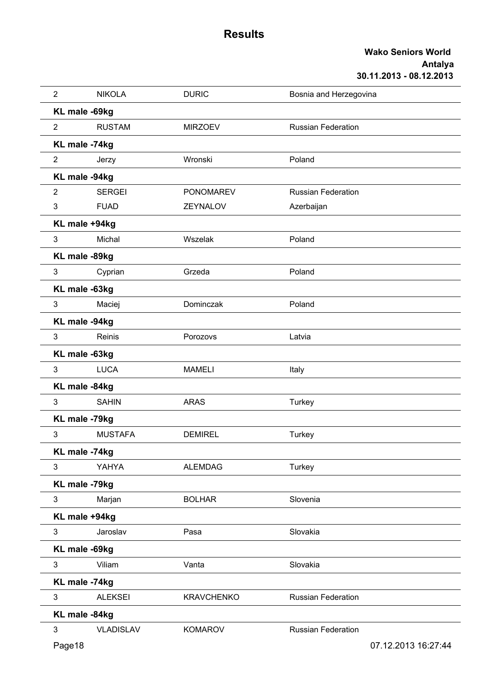| $\overline{2}$ | <b>NIKOLA</b>    | <b>DURIC</b>      | Bosnia and Herzegovina    |  |  |
|----------------|------------------|-------------------|---------------------------|--|--|
|                | KL male -69kg    |                   |                           |  |  |
| $\overline{2}$ | <b>RUSTAM</b>    | <b>MIRZOEV</b>    | <b>Russian Federation</b> |  |  |
|                | KL male -74kg    |                   |                           |  |  |
| $\overline{2}$ | Jerzy            | Wronski           | Poland                    |  |  |
|                | KL male -94kg    |                   |                           |  |  |
| $\overline{2}$ | <b>SERGEI</b>    | <b>PONOMAREV</b>  | <b>Russian Federation</b> |  |  |
| 3              | <b>FUAD</b>      | <b>ZEYNALOV</b>   | Azerbaijan                |  |  |
|                | KL male +94kg    |                   |                           |  |  |
| 3              | Michal           | Wszelak           | Poland                    |  |  |
|                | KL male -89kg    |                   |                           |  |  |
| 3              | Cyprian          | Grzeda            | Poland                    |  |  |
|                | KL male -63kg    |                   |                           |  |  |
| 3              | Maciej           | Dominczak         | Poland                    |  |  |
|                | KL male -94kg    |                   |                           |  |  |
| 3              | Reinis           | Porozovs          | Latvia                    |  |  |
|                | KL male -63kg    |                   |                           |  |  |
| 3              | <b>LUCA</b>      | <b>MAMELI</b>     | Italy                     |  |  |
|                | KL male -84kg    |                   |                           |  |  |
| 3              | <b>SAHIN</b>     | <b>ARAS</b>       | Turkey                    |  |  |
|                | KL male -79kg    |                   |                           |  |  |
| 3              | <b>MUSTAFA</b>   | <b>DEMIREL</b>    | Turkey                    |  |  |
|                | KL male -74kg    |                   |                           |  |  |
| 3              | YAHYA            | <b>ALEMDAG</b>    | Turkey                    |  |  |
|                | KL male -79kg    |                   |                           |  |  |
| 3              | Marjan           | <b>BOLHAR</b>     | Slovenia                  |  |  |
|                | KL male +94kg    |                   |                           |  |  |
| 3              | Jaroslav         | Pasa              | Slovakia                  |  |  |
|                | KL male -69kg    |                   |                           |  |  |
| 3              | Viliam           | Vanta             | Slovakia                  |  |  |
|                | KL male -74kg    |                   |                           |  |  |
| 3              | <b>ALEKSEI</b>   | <b>KRAVCHENKO</b> | <b>Russian Federation</b> |  |  |
|                | KL male -84kg    |                   |                           |  |  |
| 3              | <b>VLADISLAV</b> | <b>KOMAROV</b>    | <b>Russian Federation</b> |  |  |
| Page18         |                  |                   | 07.12.2013 16:27:44       |  |  |